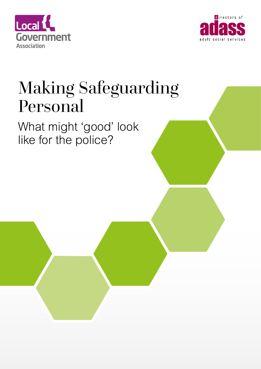



## Making Safeguarding Personal

## What might 'good' look like for the police?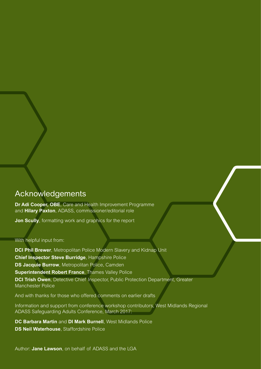#### Acknowledgements

**Dr Adi Cooper, OBE**, Care and Health Improvement Programme and **Hilary Paxton**, ADASS, commissioner/editorial role

**Jon Scully**, formatting work and graphics for the report

#### With helpful input from:

**DCI Phil Brewer**, Metropolitan Police Modern Slavery and Kidnap Unit **Chief Inspector Steve Burridge**, Hampshire Police **DS Jacquie Burrow**, Metropolitan Police, Camden **Superintendent Robert France**, Thames Valley Police **DCI Trish Owen**, Detective Chief Inspector, Public Protection Department, Greater Manchester Police

And with thanks for those who offered comments on earlier drafts

Information and support from conference workshop contributors, West Midlands Regional ADASS Safeguarding Adults Conference, March 2017:

**DC Barbara Martin** and **DI Mark Burnell**, West Midlands Police **DS Neil Waterhouse**, Staffordshire Police

Author: **Jane Lawson**, on behalf of ADASS and the LGA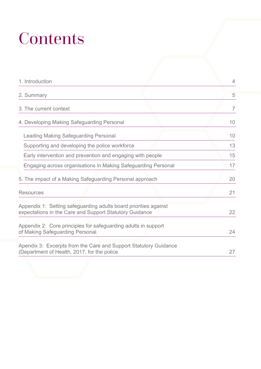# **Contents**

| 1. Introduction                                                                                                             | $\overline{4}$ |
|-----------------------------------------------------------------------------------------------------------------------------|----------------|
| 2. Summary                                                                                                                  | 5              |
| 3. The current context                                                                                                      | $\overline{7}$ |
| 4. Developing Making Safeguarding Personal                                                                                  | 10             |
| Leading Making Safeguarding Personal                                                                                        | 10             |
| Supporting and developing the police workforce                                                                              | 13             |
| Early intervention and prevention and engaging with people                                                                  | 15             |
| Engaging across organisations in Making Safeguarding Personal                                                               | 17             |
| 5. The impact of a Making Safeguarding Personal approach                                                                    | 20             |
| <b>Resources</b>                                                                                                            | 21             |
| Appendix 1: Setting safeguarding adults board priorities against<br>expectations in the Care and Support Statutory Guidance | 22             |
| Appendix 2: Core principles for safeguarding adults in support<br>of Making Safeguarding Personal                           | 24             |
| Apendix 3: Excerpts from the Care and Support Statutory Guidance<br>(Department of Health, 2017, for the police             | 27             |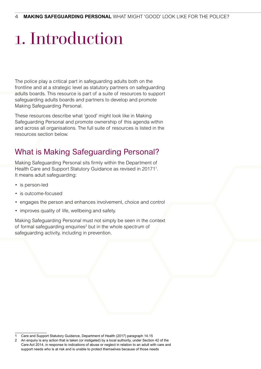# 1. Introduction

The police play a critical part in safeguarding adults both on the frontline and at a strategic level as statutory partners on safeguarding adults boards. This resource is part of a suite of resources to support safeguarding adults boards and partners to develop and promote Making Safeguarding Personal.

These resources describe what 'good' might look like in Making Safeguarding Personal and promote ownership of this agenda within and across all organisations. The full suite of resources is listed in the resources section below.

## What is Making Safeguarding Personal?

Making Safeguarding Personal sits firmly within the Department of Health Care and Support Statutory Guidance as revised in 20171<sup>1</sup>. It means adult safeguarding:

- is person-led
- is outcome-focused
- engages the person and enhances involvement, choice and control
- improves quality of life, wellbeing and safety.

Making Safeguarding Personal must not simply be seen in the context of formal safeguarding enquiries<sup>2</sup> but in the whole spectrum of safeguarding activity, including in prevention.

<sup>1</sup> Care and Support Statutory Guidance, Department of Health (2017) paragraph 14.15

<sup>2</sup> An enquiry is any action that is taken (or instigated) by a local authority, under Section 42 of the Care Act 2014, in response to indications of abuse or neglect in relation to an adult with care and support needs who is at risk and is unable to protect themselves because of those needs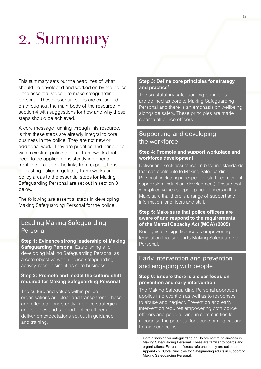## 2. Summary

This summary sets out the headlines of what should be developed and worked on by the police – the essential steps – to make safeguarding personal. These essential steps are expanded on throughout the main body of the resource in section 4 with suggestions for how and why these steps should be achieved.

A core message running through this resource, is that these steps are already integral to core business in the police. They are not new or additional work. They are priorities and principles within existing police internal frameworks that need to be applied consistently in generic front line practice. The links from expectations of existing police regulatory frameworks and policy areas to the essential steps for Making Safeguarding Personal are set out in section 3 below.

The following are essential steps in developing Making Safeguarding Personal for the police:

#### Leading Making Safeguarding Personal

**Step 1: Evidence strong leadership of Making Safeguarding Personal** Establishing and developing Making Safeguarding Personal as a core objective within police safeguarding activity, recognising it as core business.

#### **Step 2: Promote and model the culture shift required for Making Safeguarding Personal**

The culture and values within police organisations are clear and transparent. These are reflected consistently in police strategies and policies and support police officers to deliver on expectations set out in guidance and training.

#### **Step 3: Define core principles for strategy and practice3**

The six statutory safeguarding principles are defined as core to Making Safeguarding Personal and there is an emphasis on wellbeing alongside safety. These principles are made clear to all police officers.

#### Supporting and developing the workforce

#### **Step 4: Promote and support workplace and workforce development**

Deliver and seek assurance on baseline standards that can contribute to Making Safeguarding Personal (including in respect of staff: recruitment, supervision, induction, development). Ensure that workplace values support police officers in this. Make sure that there is a range of support and information for officers and staff.

#### **Step 5: Make sure that police officers are aware of and respond to the requirements of the Mental Capacity Act (MCA) (2005)**

Recognise its significance as empowering legislation that supports Making Safeguarding Personal.

#### Early intervention and prevention and engaging with people

#### **Step 6: Ensure there is a clear focus on prevention and early intervention**

The Making Safeguarding Personal approach applies in prevention as well as to responses to abuse and neglect. Prevention and early intervention requires empowering both police officers and people living in communities to recognise the potential for abuse or neglect and to raise concerns.

<sup>3</sup> Core principles for safeguarding adults are central to success in Making Safeguarding Personal. These are familiar to boards and organisations. For ease of cross reference, they are set out in Appendix 2: 'Core Principles for Safeguarding Adults in support of Making Safeguarding Personal.'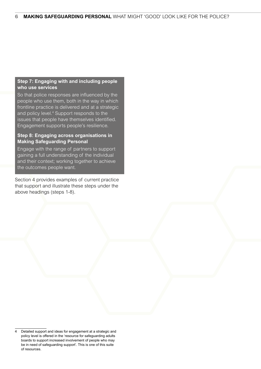#### **Step 7: Engaging with and including people who use services**

So that police responses are influenced by the people who use them, both in the way in which frontline practice is delivered and at a strategic and policy level.<sup>4</sup> Support responds to the issues that people have themselves identified. Engagement supports people's resilience.

#### **Step 8: Engaging across organisations in Making Safeguarding Personal**

Engage with the range of partners to support gaining a full understanding of the individual and their context; working together to achieve the outcomes people want.

Section 4 provides examples of current practice that support and illustrate these steps under the above headings (steps 1-8).

Detailed support and ideas for engagement at a strategic and policy level is offered in the 'resource for safeguarding adults boards to support increased involvement of people who may be in need of safeguarding support'. This is one of this suite of resources.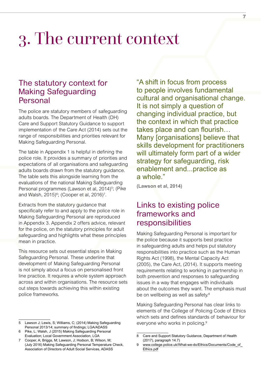## 3. The current context

### The statutory context for Making Safeguarding Personal

The police are statutory members of safeguarding adults boards. The Department of Health (DH) Care and Support Statutory Guidance to support implementation of the Care Act (2014) sets out the range of responsibilities and priorities relevant for Making Safeguarding Personal.

The table in Appendix 1 is helpful in defining the police role. It provides a summary of priorities and expectations of all organisations and safeguarding adults boards drawn from the statutory guidance. The table sets this alongside learning from the evaluations of the national Making Safeguarding Personal programmes (Lawson et al, 2014)<sup>5</sup>; (Pike and Walsh, 2015)<sup>6</sup>; (Cooper et al, 2016)<sup>7</sup>.

Extracts from the statutory guidance that specifically refer to and apply to the police role in Making Safeguarding Personal are reproduced in Appendix 3. Appendix 2 offers advice, relevant for the police, on the statutory principles for adult safeguarding and highlights what these principles mean in practice.

This resource sets out essential steps in Making Safeguarding Personal. These underline that development of Making Safeguarding Personal is not simply about a focus on personalised front line practice. It requires a whole system approach across and within organisations. The resource sets out steps towards achieving this within existing police frameworks.

"A shift in focus from process to people involves fundamental cultural and organisational change. It is not simply a question of changing individual practice, but the context in which that practice takes place and can flourish… Many [organisations] believe that skills development for practitioners will ultimately form part of a wider strategy for safeguarding, risk enablement and...practice as a whole."

**(Lawson et al, 2014)**

### Links to existing police frameworks and responsibilities

Making Safeguarding Personal is important for the police because it supports best practice in safeguarding adults and helps put statutory responsibilities into practice such as the Human Rights Act (1998), the Mental Capacity Act (2005), the Care Act, (2014). It supports meeting requirements relating to working in partnership in both prevention and responses to safeguarding issues in a way that engages with individuals about the outcomes they want. The emphasis must be on wellbeing as well as safety.<sup>8</sup>

Making Safeguarding Personal has clear links to elements of the College of Policing Code of Ethics which sets and defines standards of behaviour for everyone who works in policing.<sup>9</sup>

<sup>5</sup> Lawson J; Lewis, S; Williams, C; (2014) Making Safeguarding Personal 2013/14; summary of findings; LGA/ADASS

<sup>6</sup> Pike, L; Walsh, J (2015) Making Safeguarding Personal Evaluation; Local Government Association, LGA

<sup>7</sup> Cooper, A; Briggs, M; Lawson, J; Hodson, B; Wilson, M; (July 2016) Making Safeguarding Personal Temperature Check, Association of Directors of Adult Social Services, ADASS

<sup>8</sup> Care and Support Statutory Guidance, Department of Health (2017), paragraph 14.7)

<sup>9</sup> [www.college.police.uk/What-we-do/Ethics/Documents/Code\\_of\\_](http://www.college.police.uk/What-we-do/Ethics/Documents/Code_of_Ethics.pdf) [Ethics.pdf](http://www.college.police.uk/What-we-do/Ethics/Documents/Code_of_Ethics.pdf)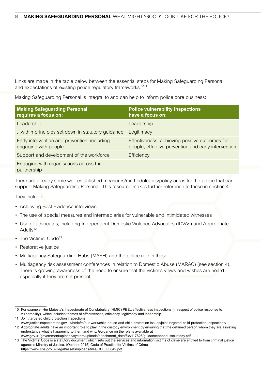Links are made in the table below between the essential steps for Making Safeguarding Personal and expectations of existing police regulatory frameworks.<sup>1011</sup>

Making Safeguarding Personal is integral to and can help to inform police core business:

| <b>Making Safeguarding Personal</b><br>requires a focus on:          | <b>Police vulnerability inspections</b><br>have a focus on:                                           |
|----------------------------------------------------------------------|-------------------------------------------------------------------------------------------------------|
| Leadership                                                           | Leadership                                                                                            |
| within principles set down in statutory guidance                     | Legitimacy                                                                                            |
| Early intervention and prevention, including<br>engaging with people | Effectiveness: achieving positive outcomes for<br>people; effective prevention and early intervention |
| Support and development of the workforce                             | Efficiency                                                                                            |
| Engaging with organisations across the<br>partnership                |                                                                                                       |

There are already some well-established measures/methodologies/policy areas for the police that can support Making Safeguarding Personal. This resource makes further reference to these in section 4.

They include:

- Achieving Best Evidence interviews
- The use of special measures and intermediaries for vulnerable and intimidated witnesses
- Use of advocates, including Independent Domestic Violence Advocates (IDVAs) and Appropriate Adults<sup>12</sup>
- The Victims' Code<sup>13</sup>
- Restorative justice
- Multiagency Safeguarding Hubs (MASH) and the police role in these
- Multiagency risk assessment conferences in relation to Domestic Abuse (MARAC) (see section 4). There is growing awareness of the need to ensure that the victim's views and wishes are heard especially if they are not present.

<sup>10</sup> For example, Her Majesty's Inspectorate of Constabulary (HMIC) PEEL effectiveness inspections (in respect of police response to vulnerability), which includes themes of effectiveness, efficiency, legitimacy and leadership

<sup>11</sup> Joint targeted child protection inspections

[www.justiceinspectorates.gov.uk/hmicfrs/our-work/child-abuse-and-child-protection-issues/joint-targeted-child-protection-inspections/](http://www.justiceinspectorates.gov.uk/hmicfrs/our-work/child-abuse-and-child-protection-issues/joint-targeted-child-protection-inspections/)

<sup>12</sup> Appropriate adults have an important role to play in the custody environment by ensuring that the detained person whom they are assisting understands what is happening to them and why. Guidance on the role is available at

[www.gov.uk/government/uploads/system/uploads/attachment\\_data/file/117625/guidanceappadultscustody.pdf](http://www.gov.uk/government/uploads/system/uploads/attachment_data/file/117625/guidanceappadultscustody.pdf)

<sup>13</sup> The Victims' Code is a statutory document which sets out the services and information victims of crime are entitled to from criminal justice agencies Ministry of Justice, (October 2015) Code of Practice for Victims of Crime [https://www.cps.gov.uk/legal/assets/uploads/files/OD\\_000049.pdf](https://www.cps.gov.uk/legal/assets/uploads/files/OD_000049.pdf)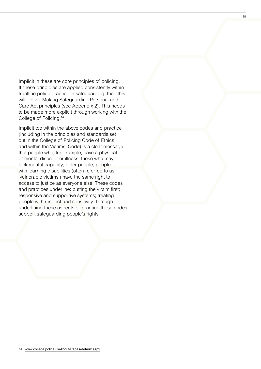Implicit in these are core principles of policing. If these principles are applied consistently within frontline police practice in safeguarding, then this will deliver Making Safeguarding Personal and Care Act principles (see Appendix 2). This needs to be made more explicit through working with the College of Policing.14

Implicit too within the above codes and practice (including in the principles and standards set out in the College of Policing Code of Ethics and within the Victims' Code) is a clear message that people who, for example, have a physical or mental disorder or illness; those who may lack mental capacity; older people; people with learning disabilities (often referred to as 'vulnerable victims') have the same right to access to justice as everyone else. These codes and practices underline: putting the victim first; responsive and supportive systems; treating people with respect and sensitivity. Through underlining these aspects of practice these codes support safeguarding people's rights.

<sup>14</sup> [www.college.police.uk/About/Pages/default.aspx](http://ww.college.police.uk/About/Pages/default.aspx)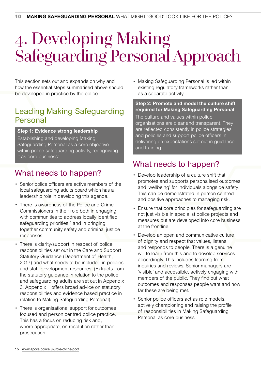## 4. Developing Making Safeguarding Personal Approach

This section sets out and expands on why and how the essential steps summarised above should be developed in practice by the police.

## Leading Making Safeguarding Personal

#### **Step 1: Evidence strong leadership**

Establishing and developing Making Safeguarding Personal as a core objective within police safeguarding activity, recognising it as core business:

## What needs to happen?

- Senior police officers are active members of the local safeguarding adults board which has a leadership role in developing this agenda.
- There is awareness of the Police and Crime Commissioners in their role both in engaging with communities to address locally identified safeguarding priorities<sup>15</sup> and in bringing together community safety and criminal justice responses.
- There is clarity/support in respect of police responsibilities set out in the Care and Support Statutory Guidance (Department of Health, 2017) and what needs to be included in policies and staff development resources. (Extracts from the statutory guidance in relation to the police and safeguarding adults are set out in Appendix 3. Appendix 1 offers broad advice on statutory responsibilities and evidence based practice in relation to Making Safeguarding Personal).
- There is organisational support for outcomes focused and person centred police practice. This has a focus on reducing risk and, where appropriate, on resolution rather than prosecution.

• Making Safeguarding Personal is led within existing regulatory frameworks rather than as a separate activity.

**Step 2: Promote and model the culture shift required for Making Safeguarding Personal**

The culture and values within police organisations are clear and transparent. They are reflected consistently in police strategies and policies and support police officers in delivering on expectations set out in guidance and training:

### What needs to happen?

- Develop leadership of a culture shift that promotes and supports personalised outcomes and 'wellbeing' for individuals alongside safety. This can be demonstrated in person centred and positive approaches to managing risk.
- Ensure that core principles for safeguarding are not just visible in specialist police projects and measures but are developed into core business at the frontline.
- Develop an open and communicative culture of dignity and respect that values, listens and responds to people. There is a genuine will to learn from this and to develop services accordingly. This includes learning from inquiries and reviews. Senior managers are 'visible' and accessible, actively engaging with members of the public. They find out what outcomes and responses people want and how far these are being met.
- Senior police officers act as role models, actively championing and raising the profile of responsibilities in Making Safeguarding Personal as core business.

<sup>15</sup> [www.apccs.police.uk/role-of-the-pcc/](http://www.apccs.police.uk/role-of-the-pcc/)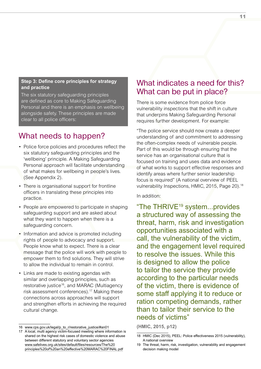#### **Step 3: Define core principles for strategy and practice**

The six statutory safeguarding principles are defined as core to Making Safeguarding Personal and there is an emphasis on wellbeing alongside safety. These principles are made clear to all police officers:

## What needs to happen?

- Police force policies and procedures reflect the six statutory safeguarding principles and the 'wellbeing' principle. A Making Safeguarding Personal approach will facilitate understanding of what makes for wellbeing in people's lives. (See Appendix 2).
- There is organisational support for frontline officers in translating these principles into practice.
- People are empowered to participate in shaping safeguarding support and are asked about what they want to happen when there is a safeguarding concern.
- Information and advice is promoted including rights of people to advocacy and support. People know what to expect. There is a clear message that the police will work with people to empower them to find solutions. They will strive to allow the individual to remain in control.
- Links are made to existing agendas with similar and overlapping principles, such as restorative justice<sup>16</sup>, and MARAC (Multiagency risk assessment conferences).<sup>17</sup> Making these connections across approaches will support and strengthen efforts in achieving the required cultural change.

### What indicates a need for this? What can be put in place?

There is some evidence from police force vulnerability inspections that the shift in culture that underpins Making Safeguarding Personal requires further development. For example:

"The police service should now create a deeper understanding of and commitment to addressing the often-complex needs of vulnerable people. Part of this would be through ensuring that the service has an organisational culture that is focused on training and uses data and evidence of what works to support effective responses and identify areas where further senior leadership focus is required" (A national overview of PEEL vulnerability Inspections, HMIC, 2015, Page 20).<sup>18</sup>

In addition:

"The THRIVE19 system...provides a structured way of assessing the threat, harm, risk and investigation opportunities associated with a call, the vulnerability of the victim, and the engagement level required to resolve the issues. While this is designed to allow the police to tailor the service they provide according to the particular needs of the victim, there is evidence of some staff applying it to reduce or ration competing demands, rather than to tailor their service to the needs of victims"

**(HMIC, 2015, p12)**

<sup>16</sup> [www.cps.gov.uk/legal/p\\_to\\_r/restorative\\_justice/#an01](http://www.cps.gov.uk/legal/p_to_r/restorative_justice/#an01)

<sup>17</sup> A local, multi agency victim-focused meeting where information is shared on the highest risk cases of domestic violence and abuse between different statutory and voluntary sector agencies [www.safelives.org.uk/sites/default/files/resources/The%20](http://www.safelives.org.uk/sites/default/files/resources/The%20principles%20of%20an%20effective%20MARAC%20FINAL.pdf) [principles%20of%20an%20effective%20MARAC%20FINAL.pdf](http://www.safelives.org.uk/sites/default/files/resources/The%20principles%20of%20an%20effective%20MARAC%20FINAL.pdf)

<sup>18</sup> HMIC (Dec 2015), PEEL: Police effectiveness 2015 (vulnerability), A national overview

<sup>19</sup> The threat, harm, risk, investigation, vulnerability and engagement decision making model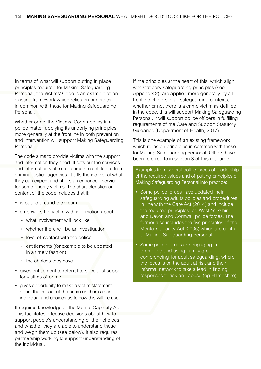In terms of what will support putting in place principles required for Making Safeguarding Personal, the Victims' Code is an example of an existing framework which relies on principles in common with those for Making Safeguarding Personal.

Whether or not the Victims' Code applies in a police matter, applying its underlying principles more generally at the frontline in both prevention and intervention will support Making Safeguarding Personal.

The code aims to provide victims with the support and information they need. It sets out the services and information victims of crime are entitled to from criminal justice agencies. It tells the individual what they can expect and offers an enhanced service for some priority victims. The characteristics and content of the code includes that it:

- is based around the victim
- empowers the victim with information about:
	- what involvement will look like
	- whether there will be an investigation
	- level of contact with the police
	- entitlements (for example to be updated in a timely fashion)
	- the choices they have
- gives entitlement to referral to specialist support for victims of crime
- gives opportunity to make a victim statement about the impact of the crime on them as an individual and choices as to how this will be used.

It requires knowledge of the Mental Capacity Act. This facilitates effective decisions about how to support people's understanding of their choices and whether they are able to understand these and weigh them up (see below). It also requires partnership working to support understanding of the individual.

If the principles at the heart of this, which align with statutory safeguarding principles (see Appendix 2), are applied more generally by all frontline officers in all safeguarding contexts, whether or not there is a crime victim as defined in the code, this will support Making Safeguarding Personal. It will support police officers in fulfilling requirements of the Care and Support Statutory Guidance (Department of Health, 2017).

This is one example of an existing framework which relies on principles in common with those for Making Safeguarding Personal. Others have been referred to in section 3 of this resource.

Examples from several police forces of leadership of the required values and of putting principles of Making Safeguarding Personal into practice:

- Some police forces have updated their safeguarding adults policies and procedures in line with the Care Act (2014) and include the required principles: eg West Yorkshire and Devon and Cornwall police forces. The former also includes the five principles of the Mental Capacity Act (2005) which are central to Making Safeguarding Personal.
- Some police forces are engaging in promoting and using 'family group conferencing' for adult safeguarding, where the focus is on the adult at risk and their informal network to take a lead in finding responses to risk and abuse (eg Hampshire).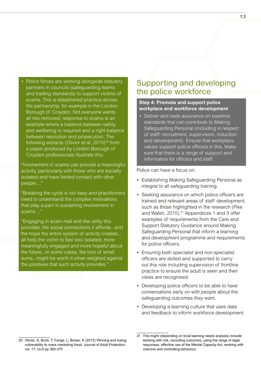• Police forces are working alongside statutory partners in councils (safeguarding teams and trading standards) to support victims of scams. This is established practice across the partnership, for example in the London Borough of Croydon. Not everyone wants all risk removed, response to scams is an example where a balance between safety and wellbeing is required and a right balance between resolution and prosecution. The following extracts (Olivier et al,  $2015)^{20}$  from a paper produced by London Borough of Croydon professionals illustrate this:

"Involvement in scams can provide a meaningful activity, particularly with those who are socially isolated and have limited contact with other people…"

"Breaking the cycle is not easy and practitioners need to understand the complex motivations that play a part in sustaining involvement in scams…"

"Engaging in scam mail and the utility this provides, the social connections it affords...and the hope the entire system of activity creates... all help the victim to feel less isolated, more meaningfully engaged and more hopeful about the future...In some cases, the loss of small sums...might be worth it when weighed against the positives that such activity provides."

### Supporting and developing the police workforce

#### **Step 4: Promote and support police workplace and workforce development**

• Deliver and seek assurance on baseline standards that can contribute to Making Safeguarding Personal (including in respect of staff: recruitment, supervision, induction and development). Ensure that workplace values support police officers in this. Make sure that there is a range of support and information for officers and staff.

Police can have a focus on:

- Establishing Making Safeguarding Personal as integral to all safeguarding training.
- Seeking assurance on which police officers are trained and relevant areas of staff development, such as those highlighted in the research (Pike and Walsh, 2015).<sup>21</sup> Appendices 1 and 3 offer examples of requirements from the Care and Support Statutory Guidance around Making Safeguarding Personal that inform a learning and development programme and requirements for police officers.
- Ensuring both specialist and non-specialist officers are skilled and supported to carry out this role including supervision of frontline practice to ensure the adult is seen and their views are recognised.
- Developing police officers to be able to have conversations early on with people about the safeguarding outcomes they want.
- Developing a learning culture that uses data and feedback to inform workforce development.

<sup>20</sup> Olivier, S; Burls, T; Fenge, L; Brown, K (2015) Winning and losing; vulnerability to mass marketing fraud. Journal of Adult Protection, vol. 17; no.6 pp 360-370

<sup>21</sup> This might (depending on local learning needs analysis) include: working with risk, recording outcomes, using the range of legal responses, effective use of the Mental Capacity Act, working with coercive and controlling behaviour.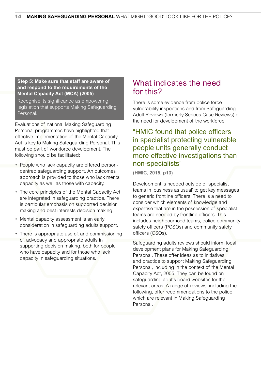#### **Step 5: Make sure that staff are aware of and respond to the requirements of the Mental Capacity Act (MCA) (2005)**

Recognise its significance as empowering legislation that supports Making Safeguarding Personal.

Evaluations of national Making Safeguarding Personal programmes have highlighted that effective implementation of the Mental Capacity Act is key to Making Safeguarding Personal. This must be part of workforce development. The following should be facilitated:

- People who lack capacity are offered personcentred safeguarding support. An outcomes approach is provided to those who lack mental capacity as well as those with capacity.
- The core principles of the Mental Capacity Act are integrated in safeguarding practice. There is particular emphasis on supported decision making and best interests decision making.
- Mental capacity assessment is an early consideration in safeguarding adults support.
- There is appropriate use of, and commissioning of, advocacy and appropriate adults in supporting decision making, both for people who have capacity and for those who lack capacity in safeguarding situations.

### What indicates the need for this?

There is some evidence from police force vulnerability inspections and from Safeguarding Adult Reviews (formerly Serious Case Reviews) of the need for development of the workforce:

#### "HMIC found that police officers in specialist protecting vulnerable people units generally conduct more effective investigations than non-specialists"

**(HMIC, 2015, p13)**

Development is needed outside of specialist teams in 'business as usual' to get key messages to generic frontline officers. There is a need to consider which elements of knowledge and expertise that are in the possession of specialist teams are needed by frontline officers. This includes neighbourhood teams, police community safety officers (PCSOs) and community safety officers (CSOs).

Safeguarding adults reviews should inform local development plans for Making Safeguarding Personal. These offer ideas as to initiatives and practice to support Making Safeguarding Personal, including in the context of the Mental Capacity Act, 2005. They can be found on safeguarding adults board websites for the relevant areas. A range of reviews, including the following, offer recommendations to the police which are relevant in Making Safeguarding Personal.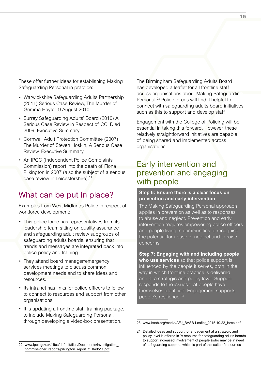These offer further ideas for establishing Making Safeguarding Personal in practice:

- Warwickshire Safeguarding Adults Partnership (2011) Serious Case Review, The Murder of Gemma Hayter, 9 August 2010
- Surrey Safeguarding Adults' Board (2010) A Serious Case Review in Respect of CC, Died 2009, Executive Summary
- Cornwall Adult Protection Committee (2007) The Murder of Steven Hoskin, A Serious Case Review, Executive Summary
- An IPCC (Independent Police Complaints Commission) report into the death of Fiona Pilkington in 2007 (also the subject of a serious case review in Leicestershire).<sup>22</sup>

### What can be put in place?

Examples from West Midlands Police in respect of workforce development:

- This police force has representatives from its leadership team sitting on quality assurance and safeguarding adult review subgroups of safeguarding adults boards, ensuring that trends and messages are integrated back into police policy and training.
- They attend board manager/emergency services meetings to discuss common development needs and to share ideas and resources.
- Its intranet has links for police officers to follow to connect to resources and support from other organisations.
- It is updating a frontline staff training package, to include Making Safeguarding Personal, through developing a video-box presentation.

The Birmingham Safeguarding Adults Board has developed a leaflet for all frontline staff across organisations about Making Safeguarding Personal.23 Police forces will find it helpful to connect with safeguarding adults board initiatives such as this to support and develop staff.

Engagement with the College of Policing will be essential in taking this forward. However, these relatively straightforward initiatives are capable of being shared and implemented across organisations.

### Early intervention and prevention and engaging with people

#### **Step 6: Ensure there is a clear focus on prevention and early intervention**

The Making Safeguarding Personal approach applies in prevention as well as to responses to abuse and neglect. Prevention and early intervention requires empowering police officers and people living in communities to recognise the potential for abuse or neglect and to raise concerns.

**Step 7: Engaging with and including people who use services** so that police support is influenced by the people it serves, both in the way in which frontline practice is delivered and at a strategic and policy level. Support responds to the issues that people have themselves identified. Engagement supports people's resilience.<sup>24</sup>

<sup>23</sup> [www.bsab.org/media/AFJ\\_BASB-Leaflet\\_2015.10.22\\_lores.pdf](http://www.bsab.org/media/AFJ_BASB-Leaflet_2015.10.22_lores.pdf).

<sup>24</sup> Detailed ideas and support for engagement at a strategic and policy level is offered in 'A resource for safeguarding adults boards to support increased involvement of people åwho may be in need of safeguarding support', which is part of this suite of resources

<sup>22</sup> [www.ipcc.gov.uk/sites/default/files/Documents/investigation\\_](http://www.ipcc.gov.uk/sites/default/files/Documents/investigation_commissioner_reports/pilkington_report_2) [commissioner\\_reports/pilkington\\_report\\_2\\_040511.pdf](http://www.ipcc.gov.uk/sites/default/files/Documents/investigation_commissioner_reports/pilkington_report_2)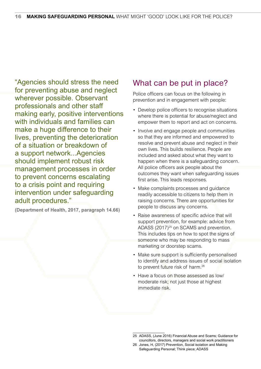"Agencies should stress the need for preventing abuse and neglect wherever possible. Observant professionals and other staff making early, positive interventions with individuals and families can make a huge difference to their lives, preventing the deterioration of a situation or breakdown of a support network...Agencies should implement robust risk management processes in order to prevent concerns escalating to a crisis point and requiring intervention under safeguarding adult procedures."

**(Department of Health, 2017, paragraph 14.66)**

### What can be put in place?

Police officers can focus on the following in prevention and in engagement with people:

- Develop police officers to recognise situations where there is potential for abuse/neglect and empower them to report and act on concerns.
- Involve and engage people and communities so that they are informed and empowered to resolve and prevent abuse and neglect in their own lives. This builds resilience. People are included and asked about what they want to happen when there is a safeguarding concern. All police officers ask people about the outcomes they want when safeguarding issues first arise. This leads responses.
- Make complaints processes and guidance readily accessible to citizens to help them in raising concerns. There are opportunities for people to discuss any concerns.
- Raise awareness of specific advice that will support prevention, for example: advice from ADASS (2017)<sup>25</sup> on SCAMS and prevention. This includes tips on how to spot the signs of someone who may be responding to mass marketing or doorstep scams.
- Make sure support is sufficiently personalised to identify and address issues of social isolation to prevent future risk of harm.<sup>26</sup>
- Have a focus on those assessed as low/ moderate risk; not just those at highest immediate risk.

<sup>25</sup> ADASS, (June 2016) Financial Abuse and Scams; Guidance for councillors, directors, managers and social work practitioners

<sup>26</sup> Jones, H, (2017) Prevention, Social isolation and Making Safeguarding Personal; Think piece; ADASS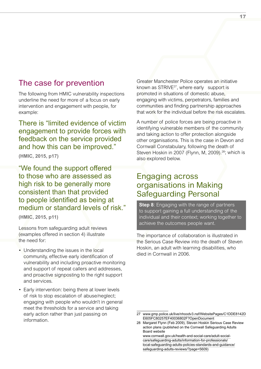### The case for prevention

The following from HMIC vulnerability inspections underline the need for more of a focus on early intervention and engagement with people, for example:

There is "limited evidence of victim engagement to provide forces with feedback on the service provided and how this can be improved."

**(HMIC, 2015, p17)**

"We found the support offered to those who are assessed as high risk to be generally more consistent than that provided to people identified as being at medium or standard levels of risk."

**(HMIC, 2015, p11)**

Lessons from safeguarding adult reviews (examples offered in section 4) illustrate the need for:

- Understanding the issues in the local community, effective early identification of vulnerability and including proactive monitoring and support of repeat callers and addresses, and proactive signposting to the right support and services.
- Early intervention: being there at lower levels of risk to stop escalation of abuse/neglect; engaging with people who wouldn't in general meet the thresholds for a service and taking early action rather than just passing on information.

Greater Manchester Police operates an initiative known as STRIVE27, where early support is promoted in situations of domestic abuse, engaging with victims, perpetrators, families and communities and finding partnership approaches that work for the individual before the risk escalates.

A number of police forces are being proactive in identifying vulnerable members of the community and taking action to offer protection alongside other organisations. This is the case in Devon and Cornwall Constabulary, following the death of Steven Hoskin in 2007 (Flynn, M, 2009).<sup>28</sup>; which is also explored below.

### Engaging across organisations in Making Safeguarding Personal

**Step 8:** Engaging with the range of partners to support gaining a full understanding of the individual and their context; working together to achieve the outcomes people want.

The importance of collaboration is illustrated in the Serious Case Review into the death of Steven Hoskin, an adult with learning disabilities, who died in Cornwall in 2006.

[care/safeguarding-adults/information-for-professionals/](http://www.cornwall.gov.uk/health-and-social-care/adult-social-care/safeguarding-adults/information-for-professionals/local-safeguarding-adults-policies-standards-and-guidance/safeguarding-adults-reviews/?page=5609)) [local-safeguarding-adults-policies-standards-and-guidance/](http://www.cornwall.gov.uk/health-and-social-care/adult-social-care/safeguarding-adults/information-for-professionals/local-safeguarding-adults-policies-standards-and-guidance/safeguarding-adults-reviews/?page=5609)) [safeguarding-adults-reviews/?page=5609\)](http://www.cornwall.gov.uk/health-and-social-care/adult-social-care/safeguarding-adults/information-for-professionals/local-safeguarding-adults-policies-standards-and-guidance/safeguarding-adults-reviews/?page=5609))

<sup>27</sup> [www.gmp.police.uk/live/nhoodv3.nsf/WebsitePages/C1DDE8142D](http://www.gmp.police.uk/live/nhoodv3.nsf/WebsitePages/C1DDE8142DE605FC80257EF40036802F?OpenDocument) [E605FC80257EF40036802F?OpenDocument](http://www.gmp.police.uk/live/nhoodv3.nsf/WebsitePages/C1DDE8142DE605FC80257EF40036802F?OpenDocument)

<sup>28</sup> Margaret Flynn (Feb 2009), Steven Hoskin Serious Case Review action plans (published on the Cornwall Safeguarding Adults Board website [www.cornwall.gov.uk/health-and-social-care/adult-social-](http://www.cornwall.gov.uk/health-and-social-care/adult-social-care/safeguarding-adults/information-for-professionals/local-safeguarding-adults-policies-standards-and-guidance/safeguarding-adults-reviews/?page=5609))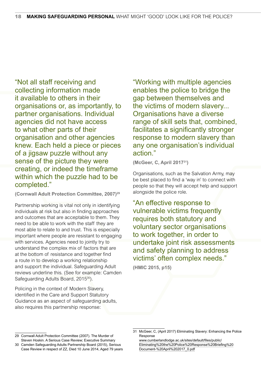"Not all staff receiving and collecting information made it available to others in their organisations or, as importantly, to partner organisations. Individual agencies did not have access to what other parts of their organisation and other agencies knew. Each held a piece or pieces of a jigsaw puzzle without any sense of the picture they were creating, or indeed the timeframe within which the puzzle had to be completed."

**(Cornwall Adult Protection Committee, 2007)29**

Partnership working is vital not only in identifying individuals at risk but also in finding approaches and outcomes that are acceptable to them. They need to be able to work with the staff they are most able to relate to and trust. This is especially important where people are resistant to engaging with services. Agencies need to jointly try to understand the complex mix of factors that are at the bottom of resistance and together find a route in to develop a working relationship and support the individual. Safeguarding Adult reviews underline this. (See for example: Camden Safeguarding Adults Board, 2015<sup>30</sup>).

Policing in the context of Modern Slavery, identified in the Care and Support Statutory Guidance as an aspect of safeguarding adults, also requires this partnership response:

"Working with multiple agencies enables the police to bridge the gap between themselves and the victims of modern slavery... Organisations have a diverse range of skill sets that, combined, facilitates a significantly stronger response to modern slavery than any one organisation's individual action."

**(McGeer, C, April 201731)**

Organisations, such as the Salvation Army, may be best placed to find a 'way in' to connect with people so that they will accept help and support alongside the police role.

"An effective response to vulnerable victims frequently requires both statutory and voluntary sector organisations to work together, in order to undertake joint risk assessments and safety planning to address victims' often complex needs."

**(HMIC 2015, p15)**

[www.cumberlandlodge.ac.uk/sites/default/files/public/](http://www.cumberlandlodge.ac.uk/sites/default/files/public/Eliminating%20the%20Police%20Response%20Briefing%20Document-%20April%202017_0.pdf) [Eliminating%20the%20Police%20Response%20Briefing%20](http://www.cumberlandlodge.ac.uk/sites/default/files/public/Eliminating%20the%20Police%20Response%20Briefing%20Document-%20April%202017_0.pdf) [Document-%20April%202017\\_0.pdf](http://www.cumberlandlodge.ac.uk/sites/default/files/public/Eliminating%20the%20Police%20Response%20Briefing%20Document-%20April%202017_0.pdf)

<sup>29</sup> Cornwall Adult Protection Committee (2007). The Murder of Steven Hoskin. A Serious Case Review; Executive Summary

<sup>30</sup> Camden Safeguarding Adults Partnership Board (2015), Serious Case Review in respect of ZZ, Died 10 June 2014, Aged 79 years

<sup>31</sup> McGeer, C, (April 2017) Eliminating Slavery: Enhancing the Police Response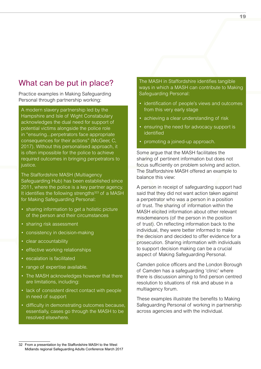## What can be put in place?

Practice examples in Making Safeguarding Personal through partnership working:

A modern slavery partnership led by the Hampshire and Isle of Wight Constabulary acknowledges the dual need for support of potential victims alongside the police role in "ensuring...perpetrators face appropriate consequences for their actions" (McGeer, C, 2017). Without this personalised approach, it is often impossible for the police to achieve required outcomes in bringing perpetrators to justice.

The Staffordshire MASH (Multiagency Safeguarding Hub) has been established since 2011, where the police is a key partner agency. It identifies the following strengths $323$  of a MASH for Making Safeguarding Personal:

- sharing information to get a holistic picture of the person and their circumstances
- sharing risk assessment
- consistency in decision-making
- clear accountability
- effective working relationships
- escalation is facilitated
- range of expertise available.
- The MASH acknowledges however that there are limitations, including:
- lack of consistent direct contact with people in need of support
- difficulty in demonstrating outcomes because, essentially, cases go through the MASH to be resolved elsewhere.

The MASH in Staffordshire identifies tangible ways in which a MASH can contribute to Making Safeguarding Personal:

- identification of people's views and outcomes from this very early stage
- achieving a clear understanding of risk
- ensuring the need for advocacy support is identified
- promoting a joined-up approach.

Some argue that the MASH facilitates the sharing of pertinent information but does not focus sufficiently on problem solving and action. The Staffordshire MASH offered an example to balance this view:

A person in receipt of safeguarding support had said that they did not want action taken against a perpetrator who was a person in a position of trust. The sharing of information within the MASH elicited information about other relevant misdemeanors (of the person in the position of trust). On reflecting information back to the individual, they were better informed to make the decision and decided to offer evidence for a prosecution. Sharing information with individuals to support decision making can be a crucial aspect of Making Safeguarding Personal.

Camden police officers and the London Borough of Camden has a safeguarding 'clinic' where there is discussion aiming to find person centred resolution to situations of risk and abuse in a multiagency forum.

These examples illustrate the benefits to Making Safeguarding Personal of working in partnership across agencies and with the individual.

<sup>18</sup> **MAKING SAFEGUARDING PERSONAL** WHAT MIGHT 'GOOD' LOOK LIKE FOR THE POLICE? 19

<sup>32</sup> From a presentation by the Staffordshire MASH to the West Midlands regional Safeguarding Adults Conference March 2017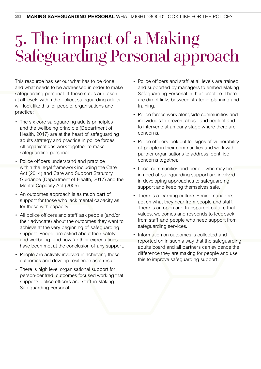## 5. The impact of a Making Safeguarding Personal approach

This resource has set out what has to be done and what needs to be addressed in order to make safeguarding personal. If these steps are taken at all levels within the police, safeguarding adults will look like this for people, organisations and practice:

- The six core safeguarding adults principles and the wellbeing principle (Department of Health, 2017) are at the heart of safeguarding adults strategy and practice in police forces. All organisations work together to make safeguarding personal.
- Police officers understand and practice within the legal framework including the Care Act (2014) and Care and Support Statutory Guidance (Department of Health, 2017) and the Mental Capacity Act (2005).
- An outcomes approach is as much part of support for those who lack mental capacity as for those with capacity.
- All police officers and staff ask people (and/or their advocate) about the outcomes they want to achieve at the very beginning of safeguarding support. People are asked about their safety and wellbeing, and how far their expectations have been met at the conclusion of any support.
- People are actively involved in achieving those outcomes and develop resilience as a result.
- There is high level organisational support for person-centred, outcomes focused working that supports police officers and staff in Making Safeguarding Personal.
- Police officers and staff at all levels are trained and supported by managers to embed Making Safeguarding Personal in their practice. There are direct links between strategic planning and training.
- Police forces work alongside communities and individuals to prevent abuse and neglect and to intervene at an early stage where there are concerns.
- Police officers look out for signs of vulnerability of people in their communities and work with partner organisations to address identified concerns together.
- Local communities and people who may be in need of safeguarding support are involved in developing approaches to safeguarding support and keeping themselves safe.
- There is a learning culture. Senior managers act on what they hear from people and staff. There is an open and transparent culture that values, welcomes and responds to feedback from staff and people who need support from safeguarding services.
- Information on outcomes is collected and reported on in such a way that the safeguarding adults board and all partners can evidence the difference they are making for people and use this to improve safeguarding support.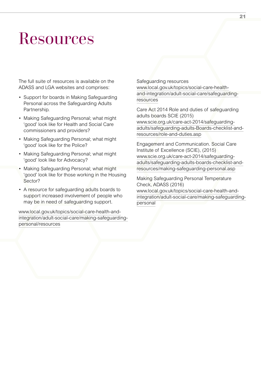## Resources

The full suite of resources is available on the ADASS and LGA websites and comprises:

- Support for boards in Making Safeguarding Personal across the Safeguarding Adults Partnership.
- Making Safeguarding Personal; what might 'good' look like for Health and Social Care commissioners and providers?
- Making Safeguarding Personal; what might 'good' look like for the Police?
- Making Safeguarding Personal; what might 'good' look like for Advocacy?
- Making Safeguarding Personal; what might 'good' look like for those working in the Housing Sector?
- A resource for safeguarding adults boards to support increased involvement of people who may be in need of safeguarding support.

[www.local.gov.uk/topics/social-care-health-and](http://www.local.gov.uk/topics/social-care-health-and-integration/adult-social-care/making-safeguarding-personal/resources)[integration/adult-social-care/making-safeguarding](http://www.local.gov.uk/topics/social-care-health-and-integration/adult-social-care/making-safeguarding-personal/resources)[personal/resources](http://www.local.gov.uk/topics/social-care-health-and-integration/adult-social-care/making-safeguarding-personal/resources)

Safeguarding resources

[www.local.gov.uk/topics/social-care-health](http://www.local.gov.uk/topics/social-care-health-and-integration/adult-social-care/safeguarding-resources)[and-integration/adult-social-care/safeguarding](http://www.local.gov.uk/topics/social-care-health-and-integration/adult-social-care/safeguarding-resources)[resources](http://www.local.gov.uk/topics/social-care-health-and-integration/adult-social-care/safeguarding-resources)

Care Act 2014 Role and duties of safeguarding adults boards SCIE (2015) [www.scie.org.uk/care-act-2014/safeguarding](http://www.scie.org.uk/care-act-2014/safeguarding-adults/safeguarding-adults-Boards-checklist-and-resources/role-and-duties.asp)[adults/safeguarding-adults-Boards-checklist-and](http://www.scie.org.uk/care-act-2014/safeguarding-adults/safeguarding-adults-Boards-checklist-and-resources/role-and-duties.asp)[resources/role-and-duties.asp](http://www.scie.org.uk/care-act-2014/safeguarding-adults/safeguarding-adults-Boards-checklist-and-resources/role-and-duties.asp)

Engagement and Communication. Social Care Institute of Excellence (SCIE), (2015) [www.scie.org.uk/care-act-2014/safeguarding](http://www.scie.org.uk/care-act-2014/safeguarding-adults/safeguarding-adults-boards-checklist-and-resources/making-safeguarding-personal.asp)[adults/safeguarding-adults-boards-checklist-and](http://www.scie.org.uk/care-act-2014/safeguarding-adults/safeguarding-adults-boards-checklist-and-resources/making-safeguarding-personal.asp)[resources/making-safeguarding-personal.asp](http://www.scie.org.uk/care-act-2014/safeguarding-adults/safeguarding-adults-boards-checklist-and-resources/making-safeguarding-personal.asp)

Making Safeguarding Personal Temperature Check, ADASS (2016) [www.local.gov.uk/topics/social-care-health-and](http://www.local.gov.uk/topics/social-care-health-and-integration/adult-social-care/making-safeguarding-personal)[integration/adult-social-care/making-safeguarding](http://www.local.gov.uk/topics/social-care-health-and-integration/adult-social-care/making-safeguarding-personal)[personal](http://www.local.gov.uk/topics/social-care-health-and-integration/adult-social-care/making-safeguarding-personal)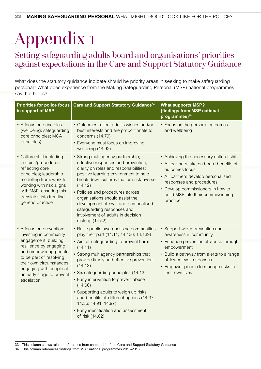# Appendix 1

## Setting safeguarding adults board and organisations' priorities against expectations in the Care and Support Statutory Guidance

What does the statutory guidance indicate should be priority areas in seeking to make safeguarding personal? What does experience from the Making Safeguarding Personal (MSP) national programmes say that helps?

| <b>Priorities for police focus</b><br>in support of MSP                                                                                                                                                                                                    | Care and Support Statutory Guidance <sup>34</sup>                                                                                                                                                                                                                                                                                                                                                                                                                                                             | <b>What supports MSP?</b><br>(findings from MSP national<br>programmes) <sup>35</sup>                                                                                                                                                                            |
|------------------------------------------------------------------------------------------------------------------------------------------------------------------------------------------------------------------------------------------------------------|---------------------------------------------------------------------------------------------------------------------------------------------------------------------------------------------------------------------------------------------------------------------------------------------------------------------------------------------------------------------------------------------------------------------------------------------------------------------------------------------------------------|------------------------------------------------------------------------------------------------------------------------------------------------------------------------------------------------------------------------------------------------------------------|
| • A focus on principles<br>(wellbeing; safeguarding<br>core principles; MCA<br>principles)                                                                                                                                                                 | • Outcomes reflect adult's wishes and/or<br>best interests and are proportionate to<br>concerns (14.79)<br>• Everyone must focus on improving<br>wellbeing (14.92)                                                                                                                                                                                                                                                                                                                                            | • Focus on the person's outcomes<br>and wellbeing                                                                                                                                                                                                                |
| • Culture shift including<br>policies/procedures<br>reflecting core<br>principles; leadership<br>modelling framework for<br>working with risk aligns<br>with MSP; ensuring this<br>translates into frontline<br>generic practice                           | · Strong multiagency partnership;<br>effective responses and prevention;<br>clarity on roles and responsibilities;<br>positive learning environment to help<br>break down cultures that are risk-averse<br>(14.12)<br>• Policies and procedures across<br>organisations should assist the<br>development of swift and personalised<br>safeguarding responses and<br>involvement of adults in decision<br>making (14.52)                                                                                       | • Achieving the necessary cultural shift<br>• All partners take on board benefits of<br>outcomes focus<br>• All partners develop personalised<br>responses and procedures<br>• Develop commissioners in how to<br>build MSP into their commissioning<br>practice |
| • A focus on prevention:<br>investing in community<br>engagement; building<br>resilience by engaging<br>and empowering people<br>to be part of resolving<br>their own circumstances;<br>engaging with people at<br>an early stage to prevent<br>escalation | • Raise public awareness so communities<br>play their part (14.11; 14.136; 14.139)<br>• Aim of safeguarding to prevent harm<br>(14.11)<br>• Strong multiagency partnerships that<br>provide timely and effective prevention<br>(14.12)<br>• Six safeguarding principles (14.13)<br>• Early intervention to prevent abuse<br>(14.66)<br>• Supporting adults to weigh up risks<br>and benefits of different options (14.37;<br>14.56; 14.91; 14.97)<br>• Early identification and assessment<br>of risk (14.62) | • Support wider prevention and<br>awareness in community<br>• Enhance prevention of abuse through<br>empowerment<br>• Build a pathway from alerts to a range<br>of lower level responses<br>• Empower people to manage risks in<br>their own lives               |

<sup>33</sup> This column shows related references from chapter 14 of the Care and Support Statutory Guidance

<sup>34</sup> This column references findings from MSP national programmes 2013-2016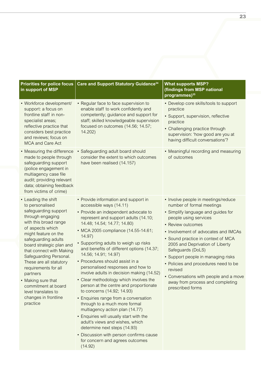| <b>Priorities for police focus</b><br>in support of MSP                                                                                                                                                                                                                                                                                                                                                                                 | Care and Support Statutory Guidance <sup>34</sup>                                                                                                                                                                                                                                                                                                                                                                                                                                                                                                                                                                                                                                                                                                                                                                                                                                                        | <b>What supports MSP?</b><br>(findings from MSP national<br>programmes) <sup>35</sup>                                                                                                                                                                                                                                                                                                                                                                                               |
|-----------------------------------------------------------------------------------------------------------------------------------------------------------------------------------------------------------------------------------------------------------------------------------------------------------------------------------------------------------------------------------------------------------------------------------------|----------------------------------------------------------------------------------------------------------------------------------------------------------------------------------------------------------------------------------------------------------------------------------------------------------------------------------------------------------------------------------------------------------------------------------------------------------------------------------------------------------------------------------------------------------------------------------------------------------------------------------------------------------------------------------------------------------------------------------------------------------------------------------------------------------------------------------------------------------------------------------------------------------|-------------------------------------------------------------------------------------------------------------------------------------------------------------------------------------------------------------------------------------------------------------------------------------------------------------------------------------------------------------------------------------------------------------------------------------------------------------------------------------|
| • Workforce development/<br>support: a focus on<br>frontline staff in non-<br>specialist areas;<br>reflective practice that<br>considers best practice<br>and reviews; focus on<br><b>MCA and Care Act</b>                                                                                                                                                                                                                              | • Regular face to face supervision to<br>enable staff to work confidently and<br>competently; guidance and support for<br>staff; skilled knowledgeable supervision<br>focused on outcomes (14.56; 14.57;<br>14.202)                                                                                                                                                                                                                                                                                                                                                                                                                                                                                                                                                                                                                                                                                      | • Develop core skills/tools to support<br>practice<br>• Support, supervision, reflective<br>practice<br>• Challenging practice through<br>supervision: 'how good are you at<br>having difficult conversations'?                                                                                                                                                                                                                                                                     |
| • Measuring the difference<br>made to people through<br>safeguarding support<br>(police engagement in<br>multiagency case file<br>audit; providing relevant<br>data; obtaining feedback<br>from victims of crime)                                                                                                                                                                                                                       | • Safeguarding adult board should<br>consider the extent to which outcomes<br>have been realised (14.157)                                                                                                                                                                                                                                                                                                                                                                                                                                                                                                                                                                                                                                                                                                                                                                                                | • Meaningful recording and measuring<br>of outcomes                                                                                                                                                                                                                                                                                                                                                                                                                                 |
| • Leading the shift<br>to personalised<br>safeguarding support<br>through engaging<br>with this broad range<br>of aspects which<br>might feature on the<br>safeguarding adults<br>board strategic plan and<br>that connect with Making<br>Safeguarding Personal.<br>These are all statutory<br>requirements for all<br>partners<br>• Making sure that<br>commitment at board<br>level translates to<br>changes in frontline<br>practice | • Provide information and support in<br>accessible ways (14.11)<br>• Provide an independent advocate to<br>represent and support adults (14.10;<br>14.48; 14.54; 14.77; 14.80)<br>• MCA 2005 compliance (14.55-14.61;<br>14.97)<br>• Supporting adults to weigh up risks<br>and benefits of different options (14.37;<br>14.56; 14.91; 14.97)<br>• Procedures should assist in a<br>personalised responses and how to<br>involve adults in decision making (14.52)<br>• Clear methodology which involves the<br>person at the centre and proportionate<br>to concerns (14.92; 14.93)<br>• Enquiries range from a conversation<br>through to a much more formal<br>multiagency action plan (14.77)<br>• Enquiries will usually start with the<br>adult's views and wishes, which<br>determine next steps (14.93)<br>• Discussion with person confirms cause<br>for concern and agrees outcomes<br>(14.92) | • Involve people in meetings/reduce<br>number of formal meetings<br>• Simplify language and guides for<br>people using services<br>• Review outcomes<br>• Involvement of advocates and IMCAs<br>• Sound practice in context of MCA<br>2005 and Deprivation of Liberty<br>Safeguards (DoLS)<br>• Support people in managing risks<br>• Policies and procedures need to be<br>revised<br>Conversations with people and a move<br>away from process and completing<br>prescribed forms |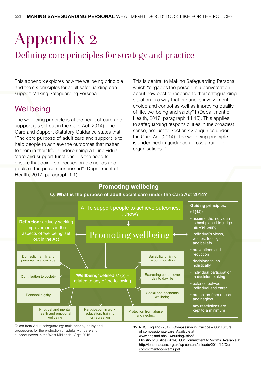## Appendix 2 Defining core principles for strategy and practice

This appendix explores how the wellbeing principle and the six principles for adult safeguarding can support Making Safeguarding Personal.

## **Wellbeing**

The wellbeing principle is at the heart of care and support (as set out in the Care Act, 2014). The Care and Support Statutory Guidance states that: "The core purpose of adult care and support is to help people to achieve the outcomes that matter to them in their life...Underpinning all...individual 'care and support functions'...is the need to ensure that doing so focuses on the needs and goals of the person concerned" (Department of Health, 2017, paragraph 1.1).

This is central to Making Safeguarding Personal which "engages the person in a conversation about how best to respond to their safeguarding situation in a way that enhances involvement, choice and control as well as improving quality of life, wellbeing and safety"1 (Department of Health, 2017, paragraph 14.15). This applies to safeguarding responsibilities in the broadest sense, not just to Section 42 enquiries under the Care Act (2014). The wellbeing principle is underlined in guidance across a range of organisations.<sup>35</sup>



Taken from 'Adult safeguarding: multi-agency policy and procedures for the protection of adults with care and support needs in the West Midlands', Sept 2016

35 NHS England (2012). Compassion in Practice – Our culture of compassionate care. Available at [www.england.nhs.uk/nursingvision/](http://www.england.nhs.uk/nursingvision/)  Ministry of Justice (2014). Our Commitment to Victims. Available at [http://londonadass.org.uk/wp-content/uploads/2014/12/Our](http://londonadass.org.uk/wp-content/uploads/2014/12/Our-commitment-to-victims.pdf)[commitment-to-victims.pdf](http://londonadass.org.uk/wp-content/uploads/2014/12/Our-commitment-to-victims.pdf)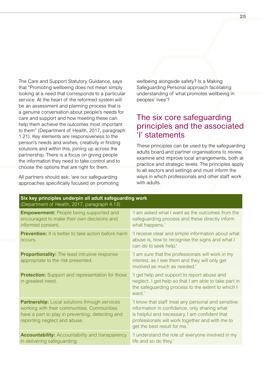The Care and Support Statutory Guidance, says that "Promoting wellbeing does not mean simply looking at a need that corresponds to a particular service. At the heart of the reformed system will be an assessment and planning process that is a genuine conversation about people's needs for care and support and how meeting these can help them achieve the outcomes most important to them" (Department of Health, 2017, paragraph 1.21). Key elements are responsiveness to the person's needs and wishes, creativity in finding solutions and within this, joining up across the partnership. There is a focus on giving people the information they need to take control and to choose the options that are right for them.

All partners should ask: 'are our safeguarding approaches specifically focused on promoting wellbeing alongside safety? Is a Making Safeguarding Personal approach facilitating understanding of what promotes wellbeing in peoples' lives'?

### The six core safeguarding principles and the associated 'I' statements

These principles can be used by the safeguarding adults board and partner organisations to review, examine and improve local arrangements, both at practice and strategic levels. The principles apply to all sectors and settings and must inform the ways in which professionals and other staff work with adults.

| Six key principles underpin all adult safeguarding work<br>(Department of Health, 2017, paragraph 4.13)                                                                                 |                                                                                                                                                                                                                                         |  |
|-----------------------------------------------------------------------------------------------------------------------------------------------------------------------------------------|-----------------------------------------------------------------------------------------------------------------------------------------------------------------------------------------------------------------------------------------|--|
| <b>Empowerment:</b> People being supported and<br>encouraged to make their own decisions and<br>informed consent.                                                                       | 'I am asked what I want as the outcomes from the<br>safeguarding process and these directly inform<br>what happens.'                                                                                                                    |  |
| Prevention: It is better to take action before harm<br>OCCUIS.                                                                                                                          | 'I receive clear and simple information about what<br>abuse is, how to recognise the signs and what I<br>can do to seek help.'                                                                                                          |  |
| <b>Proportionality:</b> The least intrusive response<br>appropriate to the risk presented.                                                                                              | 'I am sure that the professionals will work in my<br>interest, as I see them and they will only get<br>involved as much as needed.'                                                                                                     |  |
| <b>Protection:</b> Support and representation for those<br>in greatest need.                                                                                                            | 'I get help and support to report abuse and<br>neglect. I get help so that I am able to take part in<br>the safeguarding process to the extent to which I<br>want.'                                                                     |  |
| <b>Partnership:</b> Local solutions through services<br>working with their communities. Communities<br>have a part to play in preventing, detecting and<br>reporting neglect and abuse. | 'I know that staff treat any personal and sensitive<br>information in confidence, only sharing what<br>is helpful and necessary. I am confident that<br>professionals will work together and with me to<br>get the best result for me.' |  |
| <b>Accountability:</b> Accountability and transparency<br>in delivering safeguarding.                                                                                                   | 'I understand the role of everyone involved in my<br>life and so do they.'                                                                                                                                                              |  |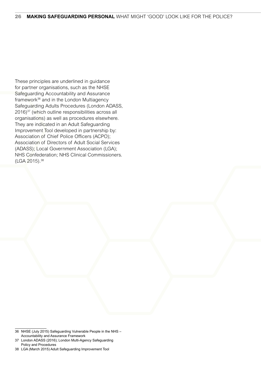These principles are underlined in guidance for partner organisations, such as the NHSE Safeguarding Accountability and Assurance framework36 and in the London Multiagency Safeguarding Adults Procedures (London ADASS, 2016)<sup>37</sup> (which outline responsibilities across all organisations) as well as procedures elsewhere. They are indicated in an Adult Safeguarding Improvement Tool developed in partnership by: Association of Chief Police Officers (ACPO); Association of Directors of Adult Social Services (ADASS); Local Government Association (LGA); NHS Confederation; NHS Clinical Commissioners. (LGA 2015).38

<sup>36</sup> NHSE (July 2015) Safeguarding Vulnerable People in the NHS – Accountability and Assurance Framework

<sup>37</sup> London ADASS (2016); London Multi-Agency Safeguarding Policy and Procedures

<sup>38</sup> LGA (March 2015) Adult Safeguarding Improvement Tool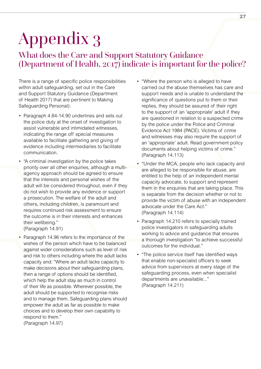# Appendix 3

## What does the Care and Support Statutory Guidance (Department of Health, 2017) indicate is important for the police?

There is a range of specific police responsibilities within adult safeguarding, set out in the Care and Support Statutory Guidance (Department of Health 2017) that are pertinent to Making Safeguarding Personal):

- Paragraph 4.84-14.90 underlines and sets out the police duty at the onset of investigation to assist vulnerable and intimidated witnesses, indicating the range off special measures available to facilitate gathering and giving of evidence including intermediaries to facilitate communication.
- "A criminal investigation by the police takes priority over all other enquiries, although a multiagency approach should be agreed to ensure that the interests and personal wishes of the adult will be considered throughout, even if they do not wish to provide any evidence or support a prosecution. The welfare of the adult and others, including children, is paramount and requires continued risk assessment to ensure the outcome is in their interests and enhances their wellbeing." (Paragraph 14.91)
- Paragraph 14.96 refers to the importance of the wishes of the person which have to be balanced against wider considerations such as level of risk and risk to others including where the adult lacks capacity and: "Where an adult lacks capacity to make decisions about their safeguarding plans, then a range of options should be identified, which help the adult stay as much in control of their life as possible. Wherever possible, the adult should be supported to recognise risks and to manage them. Safeguarding plans should empower the adult as far as possible to make choices and to develop their own capability to respond to them."

(Paragraph 14.97)

- "Where the person who is alleged to have carried out the abuse themselves has care and support needs and is unable to understand the significance of questions put to them or their replies, they should be assured of their right to the support of an 'appropriate' adult if they are questioned in relation to a suspected crime by the police under the Police and Criminal Evidence Act 1984 (PACE). Victims of crime and witnesses may also require the support of an 'appropriate' adult. Read government policy documents about helping victims of crime." (Paragraph 14.113)
- "Under the MCA, people who lack capacity and are alleged to be responsible for abuse, are entitled to the help of an independent mental capacity advocate, to support and represent them in the enquiries that are taking place. This is separate from the decision whether or not to provide the victim of abuse with an independent advocate under the Care Act." (Paragraph 14.114)
- Paragraph 14.210 refers to specially trained police investigators in safeguarding adults working to advice and guidance that ensures a thorough investigation "to achieve successful outcomes for the individual."
- "The police service itself has identified ways that enable non-specialist officers to seek advice from supervisors at every stage of the safeguarding process, even when specialist departments are unavailable..." (Paragraph 14.211)